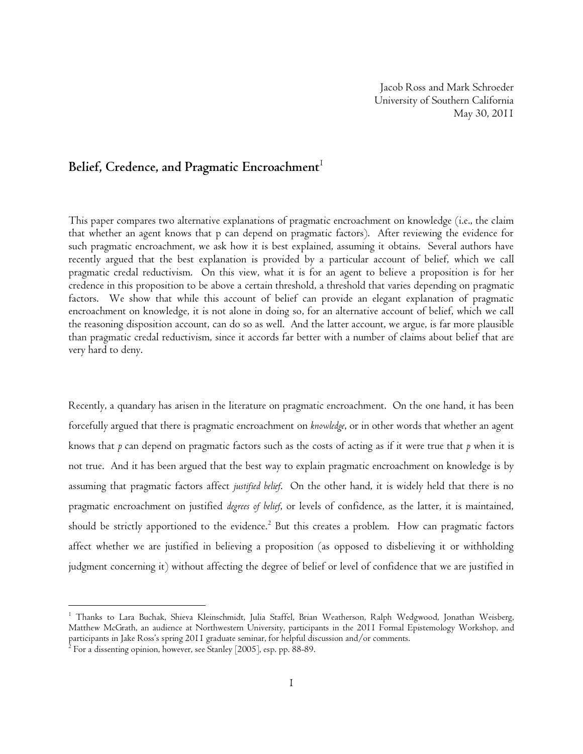Jacob Ross and Mark Schroeder University of Southern California May 30, 2011

# Belief, Credence, and Pragmatic Encroachment<sup>1</sup>

This paper compares two alternative explanations of pragmatic encroachment on knowledge (i.e., the claim that whether an agent knows that p can depend on pragmatic factors). After reviewing the evidence for such pragmatic encroachment, we ask how it is best explained, assuming it obtains. Several authors have recently argued that the best explanation is provided by a particular account of belief, which we call pragmatic credal reductivism. On this view, what it is for an agent to believe a proposition is for her credence in this proposition to be above a certain threshold, a threshold that varies depending on pragmatic factors. We show that while this account of belief can provide an elegant explanation of pragmatic encroachment on knowledge, it is not alone in doing so, for an alternative account of belief, which we call the reasoning disposition account, can do so as well. And the latter account, we argue, is far more plausible than pragmatic credal reductivism, since it accords far better with a number of claims about belief that are very hard to deny.

Recently, a quandary has arisen in the literature on pragmatic encroachment. On the one hand, it has been forcefully argued that there is pragmatic encroachment on *knowledge*, or in other words that whether an agent knows that *p* can depend on pragmatic factors such as the costs of acting as if it were true that *p* when it is not true. And it has been argued that the best way to explain pragmatic encroachment on knowledge is by assuming that pragmatic factors affect *justified belief*. On the other hand, it is widely held that there is no pragmatic encroachment on justified *degrees of belief*, or levels of confidence, as the latter, it is maintained, should be strictly apportioned to the evidence. $^2$  But this creates a problem. How can pragmatic factors affect whether we are justified in believing a proposition (as opposed to disbelieving it or withholding judgment concerning it) without affecting the degree of belief or level of confidence that we are justified in

<sup>1</sup> Thanks to Lara Buchak, Shieva Kleinschmidt, Julia Staffel, Brian Weatherson, Ralph Wedgwood, Jonathan Weisberg, Matthew McGrath, an audience at Northwestern University, participants in the 2011 Formal Epistemology Workshop, and participants in Jake Ross's spring 2011 graduate seminar, for helpful discussion and/or comments. 2 For a dissenting opinion, however, see Stanley [2005], esp. pp. 88-89.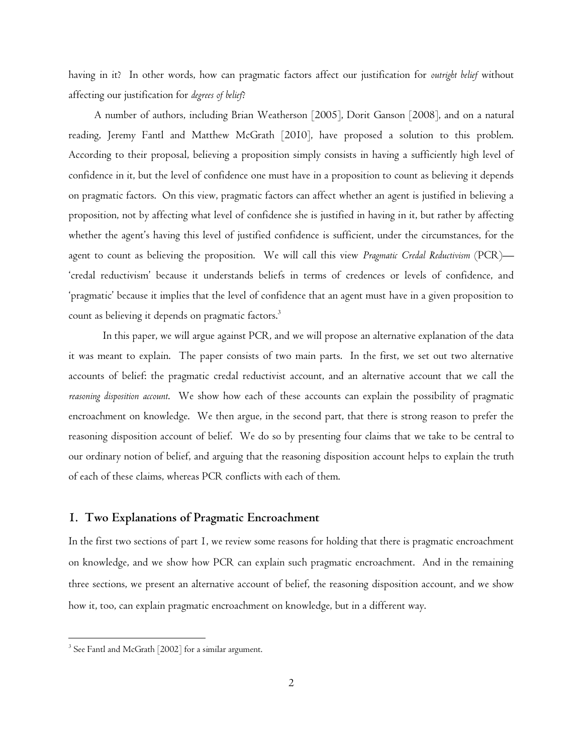having in it? In other words, how can pragmatic factors affect our justification for *outright belief* without affecting our justification for *degrees of belief*?

A number of authors, including Brian Weatherson [2005], Dorit Ganson [2008], and on a natural reading, Jeremy Fantl and Matthew McGrath [2010], have proposed a solution to this problem. According to their proposal, believing a proposition simply consists in having a sufficiently high level of confidence in it, but the level of confidence one must have in a proposition to count as believing it depends on pragmatic factors. On this view, pragmatic factors can affect whether an agent is justified in believing a proposition, not by affecting what level of confidence she is justified in having in it, but rather by affecting whether the agent's having this level of justified confidence is sufficient, under the circumstances, for the agent to count as believing the proposition. We will call this view *Pragmatic Credal Reductivism* (PCR)— 'credal reductivism' because it understands beliefs in terms of credences or levels of confidence, and 'pragmatic' because it implies that the level of confidence that an agent must have in a given proposition to count as believing it depends on pragmatic factors. $^3$ 

In this paper, we will argue against PCR, and we will propose an alternative explanation of the data it was meant to explain. The paper consists of two main parts. In the first, we set out two alternative accounts of belief: the pragmatic credal reductivist account, and an alternative account that we call the *reasoning disposition account*. We show how each of these accounts can explain the possibility of pragmatic encroachment on knowledge. We then argue, in the second part, that there is strong reason to prefer the reasoning disposition account of belief. We do so by presenting four claims that we take to be central to our ordinary notion of belief, and arguing that the reasoning disposition account helps to explain the truth of each of these claims, whereas PCR conflicts with each of them.

## **1. Two Explanations of Pragmatic Encroachment**

In the first two sections of part 1, we review some reasons for holding that there is pragmatic encroachment on knowledge, and we show how PCR can explain such pragmatic encroachment. And in the remaining three sections, we present an alternative account of belief, the reasoning disposition account, and we show how it, too, can explain pragmatic encroachment on knowledge, but in a different way.

 $3$  See Fantl and McGrath [2002] for a similar argument.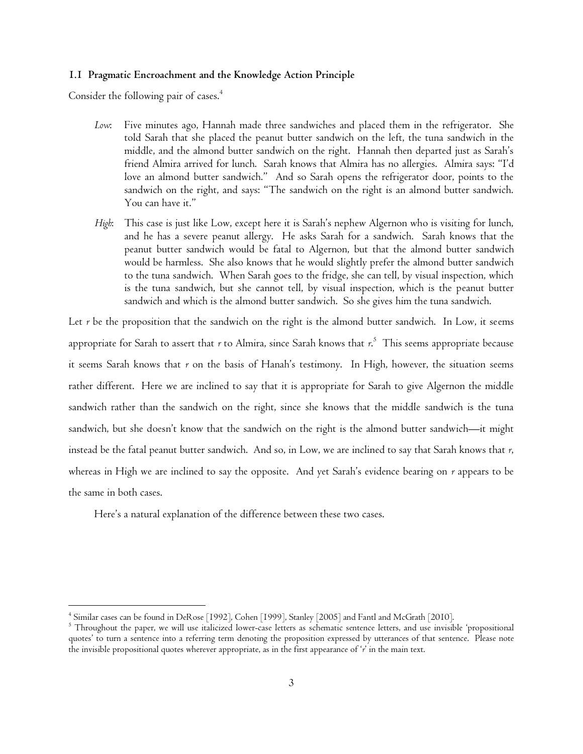#### **1.1 Pragmatic Encroachment and the Knowledge Action Principle**

Consider the following pair of cases.<sup>4</sup>

 $\overline{\phantom{a}}$ 

- *Low*: Five minutes ago, Hannah made three sandwiches and placed them in the refrigerator. She told Sarah that she placed the peanut butter sandwich on the left, the tuna sandwich in the middle, and the almond butter sandwich on the right. Hannah then departed just as Sarah's friend Almira arrived for lunch. Sarah knows that Almira has no allergies. Almira says: "I'd love an almond butter sandwich." And so Sarah opens the refrigerator door, points to the sandwich on the right, and says: "The sandwich on the right is an almond butter sandwich. You can have it."
- *High*: This case is just like Low, except here it is Sarah's nephew Algernon who is visiting for lunch, and he has a severe peanut allergy. He asks Sarah for a sandwich. Sarah knows that the peanut butter sandwich would be fatal to Algernon, but that the almond butter sandwich would be harmless. She also knows that he would slightly prefer the almond butter sandwich to the tuna sandwich. When Sarah goes to the fridge, she can tell, by visual inspection, which is the tuna sandwich, but she cannot tell, by visual inspection, which is the peanut butter sandwich and which is the almond butter sandwich. So she gives him the tuna sandwich.

Let *r* be the proposition that the sandwich on the right is the almond butter sandwich. In Low, it seems appropriate for Sarah to assert that *r* to Almira, since Sarah knows that *r*. 5 This seems appropriate because it seems Sarah knows that *r* on the basis of Hanah's testimony. In High, however, the situation seems rather different. Here we are inclined to say that it is appropriate for Sarah to give Algernon the middle sandwich rather than the sandwich on the right, since she knows that the middle sandwich is the tuna sandwich, but she doesn't know that the sandwich on the right is the almond butter sandwich—it might instead be the fatal peanut butter sandwich. And so, in Low, we are inclined to say that Sarah knows that *r*, whereas in High we are inclined to say the opposite. And yet Sarah's evidence bearing on *r* appears to be the same in both cases.

Here's a natural explanation of the difference between these two cases.

<sup>&</sup>lt;sup>4</sup> Similar cases can be found in DeRose [1992], Cohen [1999], Stanley [2005] and Fantl and McGrath [2010].

<sup>&</sup>lt;sup>5</sup> Throughout the paper, we will use italicized lower-case letters as schematic sentence letters, and use invisible 'propositional quotes' to turn a sentence into a referring term denoting the proposition expressed by utterances of that sentence. Please note the invisible propositional quotes wherever appropriate, as in the first appearance of '*r*' in the main text.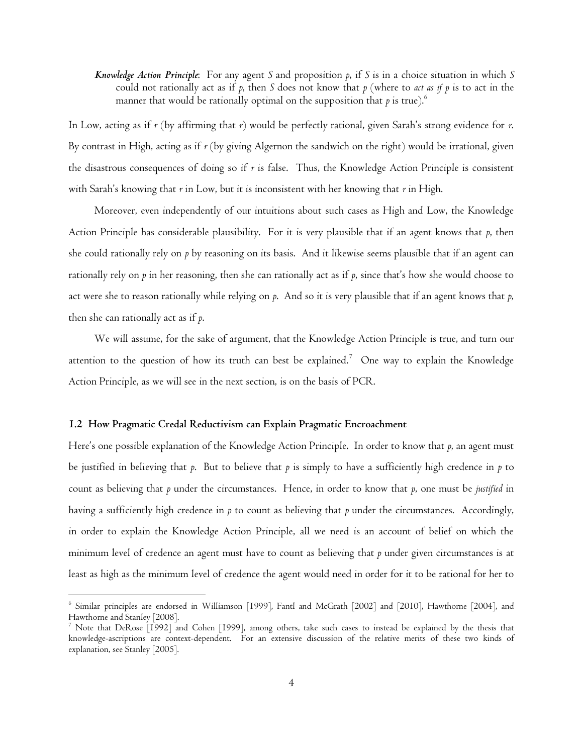*Knowledge Action Principle*: For any agent *S* and proposition *p*, if *S* is in a choice situation in which *S* could not rationally act as if *p*, then *S* does not know that *p* (where to *act as if p* is to act in the manner that would be rationally optimal on the supposition that  $p$  is true).<sup>6</sup>

In Low, acting as if *r* (by affirming that *r*) would be perfectly rational, given Sarah's strong evidence for *r*. By contrast in High, acting as if *r* (by giving Algernon the sandwich on the right) would be irrational, given the disastrous consequences of doing so if *r* is false. Thus, the Knowledge Action Principle is consistent with Sarah's knowing that *r* in Low, but it is inconsistent with her knowing that *r* in High.

Moreover, even independently of our intuitions about such cases as High and Low, the Knowledge Action Principle has considerable plausibility. For it is very plausible that if an agent knows that *p*, then she could rationally rely on *p* by reasoning on its basis. And it likewise seems plausible that if an agent can rationally rely on *p* in her reasoning, then she can rationally act as if *p*, since that's how she would choose to act were she to reason rationally while relying on *p*. And so it is very plausible that if an agent knows that *p*, then she can rationally act as if *p*.

We will assume, for the sake of argument, that the Knowledge Action Principle is true, and turn our attention to the question of how its truth can best be explained.<sup>7</sup> One way to explain the Knowledge Action Principle, as we will see in the next section, is on the basis of PCR.

#### **1.2 How Pragmatic Credal Reductivism can Explain Pragmatic Encroachment**

 $\overline{\phantom{a}}$ 

Here's one possible explanation of the Knowledge Action Principle. In order to know that *p*, an agent must be justified in believing that *p*. But to believe that *p* is simply to have a sufficiently high credence in *p* to count as believing that *p* under the circumstances. Hence, in order to know that *p*, one must be *justified* in having a sufficiently high credence in *p* to count as believing that *p* under the circumstances. Accordingly, in order to explain the Knowledge Action Principle, all we need is an account of belief on which the minimum level of credence an agent must have to count as believing that *p* under given circumstances is at least as high as the minimum level of credence the agent would need in order for it to be rational for her to

<sup>6</sup> Similar principles are endorsed in Williamson [1999], Fantl and McGrath [2002] and [2010], Hawthorne [2004], and Hawthorne and Stanley [2008].

 $^7$  Note that DeRose [1992] and Cohen [1999], among others, take such cases to instead be explained by the thesis that knowledge-ascriptions are context-dependent. For an extensive discussion of the relative merits of these two kinds of explanation, see Stanley [2005].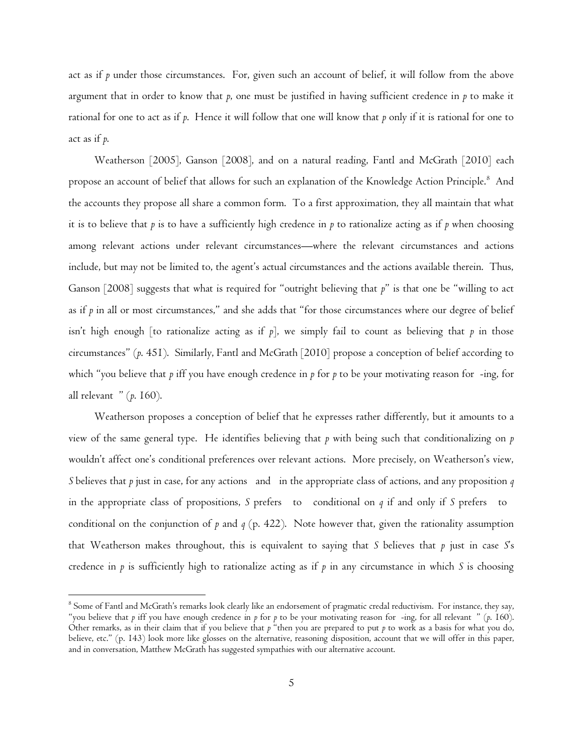act as if  $p$  under those circumstances. For, given such an account of belief, it will follow from the above argument that in order to know that *p*, one must be justified in having sufficient credence in *p* to make it rational for one to act as if *p*. Hence it will follow that one will know that *p* only if it is rational for one to act as if *p*.

Weatherson [2005], Ganson [2008], and on a natural reading, Fantl and McGrath [2010] each propose an account of belief that allows for such an explanation of the Knowledge Action Principle. $^8\,$  And the accounts they propose all share a common form. To a first approximation, they all maintain that what it is to believe that *p* is to have a sufficiently high credence in *p* to rationalize acting as if *p* when choosing among relevant actions under relevant circumstances—where the relevant circumstances and actions include, but may not be limited to, the agent's actual circumstances and the actions available therein. Thus, Ganson [2008] suggests that what is required for "outright believing that *p*" is that one be "willing to act as if *p* in all or most circumstances," and she adds that "for those circumstances where our degree of belief isn't high enough [to rationalize acting as if *p*], we simply fail to count as believing that *p* in those circumstances" (*p*. 451). Similarly, Fantl and McGrath [2010] propose a conception of belief according to which "you believe that *p* iff you have enough credence in *p* for *p* to be your motivating reason for -ing, for all relevant " (*p*. 160).

Weatherson proposes a conception of belief that he expresses rather differently, but it amounts to a view of the same general type. He identifies believing that *p* with being such that conditionalizing on *p* wouldn't affect one's conditional preferences over relevant actions. More precisely, on Weatherson's view, *S* believes that *p* just in case, for any actions and in the appropriate class of actions, and any proposition *q* in the appropriate class of propositions, *S* prefers to conditional on *q* if and only if *S* prefers to conditional on the conjunction of *p* and *q* (p. 422). Note however that, given the rationality assumption that Weatherson makes throughout, this is equivalent to saying that *S* believes that *p* just in case *S*'s credence in *p* is sufficiently high to rationalize acting as if *p* in any circumstance in which *S* is choosing

 $^8$  Some of Fantl and McGrath's remarks look clearly like an endorsement of pragmatic credal reductivism. For instance, they say, "you believe that *p* iff you have enough credence in *p* for *p* to be your motivating reason for -ing, for all relevant " (*p*. 160). Other remarks, as in their claim that if you believe that *p* "then you are prepared to put *p* to work as a basis for what you do, believe, etc." (p. 143) look more like glosses on the alternative, reasoning disposition, account that we will offer in this paper, and in conversation, Matthew McGrath has suggested sympathies with our alternative account.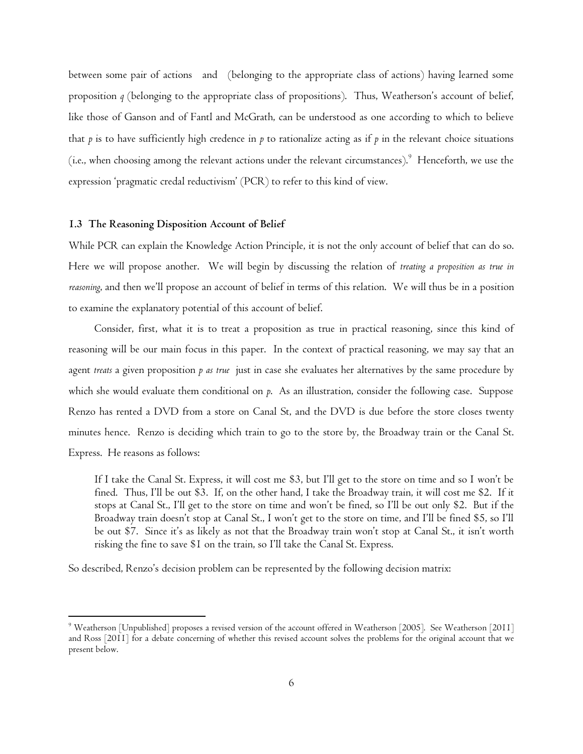between some pair of actions and (belonging to the appropriate class of actions) having learned some proposition *q* (belonging to the appropriate class of propositions). Thus, Weatherson's account of belief, like those of Ganson and of Fantl and McGrath, can be understood as one according to which to believe that *p* is to have sufficiently high credence in *p* to rationalize acting as if *p* in the relevant choice situations (i.e., when choosing among the relevant actions under the relevant circumstances). $^9$  Henceforth, we use the expression 'pragmatic credal reductivism' (PCR) to refer to this kind of view.

### **1.3 The Reasoning Disposition Account of Belief**

 $\overline{\phantom{a}}$ 

While PCR can explain the Knowledge Action Principle, it is not the only account of belief that can do so. Here we will propose another. We will begin by discussing the relation of *treating a proposition as true in reasoning*, and then we'll propose an account of belief in terms of this relation. We will thus be in a position to examine the explanatory potential of this account of belief.

Consider, first, what it is to treat a proposition as true in practical reasoning, since this kind of reasoning will be our main focus in this paper. In the context of practical reasoning, we may say that an agent *treats* a given proposition *p as true* just in case she evaluates her alternatives by the same procedure by which she would evaluate them conditional on *p*. As an illustration, consider the following case. Suppose Renzo has rented a DVD from a store on Canal St, and the DVD is due before the store closes twenty minutes hence. Renzo is deciding which train to go to the store by, the Broadway train or the Canal St. Express. He reasons as follows:

If I take the Canal St. Express, it will cost me \$3, but I'll get to the store on time and so I won't be fined. Thus, I'll be out \$3. If, on the other hand, I take the Broadway train, it will cost me \$2. If it stops at Canal St., I'll get to the store on time and won't be fined, so I'll be out only \$2. But if the Broadway train doesn't stop at Canal St., I won't get to the store on time, and I'll be fined \$5, so I'll be out \$7. Since it's as likely as not that the Broadway train won't stop at Canal St., it isn't worth risking the fine to save \$1 on the train, so I'll take the Canal St. Express.

So described, Renzo's decision problem can be represented by the following decision matrix:

<sup>9</sup> Weatherson [Unpublished] proposes a revised version of the account offered in Weatherson [2005]. See Weatherson [2011] and Ross [2011] for a debate concerning of whether this revised account solves the problems for the original account that we present below.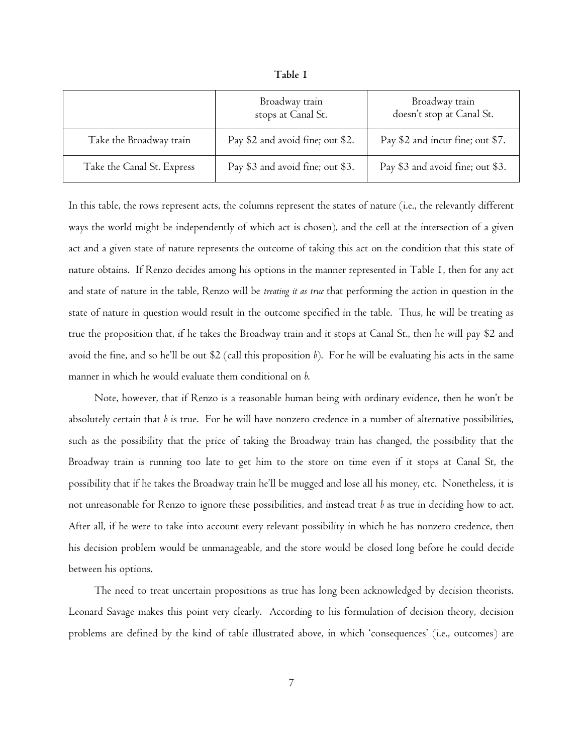|--|--|

|                            | Broadway train<br>stops at Canal St. | Broadway train<br>doesn't stop at Canal St. |
|----------------------------|--------------------------------------|---------------------------------------------|
| Take the Broadway train    | Pay \$2 and avoid fine; out \$2.     | Pay \$2 and incur fine; out \$7.            |
| Take the Canal St. Express | Pay \$3 and avoid fine; out \$3.     | Pay \$3 and avoid fine; out \$3.            |

In this table, the rows represent acts, the columns represent the states of nature (i.e., the relevantly different ways the world might be independently of which act is chosen), and the cell at the intersection of a given act and a given state of nature represents the outcome of taking this act on the condition that this state of nature obtains. If Renzo decides among his options in the manner represented in Table 1, then for any act and state of nature in the table, Renzo will be *treating it as true* that performing the action in question in the state of nature in question would result in the outcome specified in the table. Thus, he will be treating as true the proposition that, if he takes the Broadway train and it stops at Canal St., then he will pay \$2 and avoid the fine, and so he'll be out \$2 (call this proposition *b*). For he will be evaluating his acts in the same manner in which he would evaluate them conditional on *b*.

Note, however, that if Renzo is a reasonable human being with ordinary evidence, then he won't be absolutely certain that *b* is true. For he will have nonzero credence in a number of alternative possibilities, such as the possibility that the price of taking the Broadway train has changed, the possibility that the Broadway train is running too late to get him to the store on time even if it stops at Canal St, the possibility that if he takes the Broadway train he'll be mugged and lose all his money, etc. Nonetheless, it is not unreasonable for Renzo to ignore these possibilities, and instead treat *b* as true in deciding how to act. After all, if he were to take into account every relevant possibility in which he has nonzero credence, then his decision problem would be unmanageable, and the store would be closed long before he could decide between his options.

The need to treat uncertain propositions as true has long been acknowledged by decision theorists. Leonard Savage makes this point very clearly. According to his formulation of decision theory, decision problems are defined by the kind of table illustrated above, in which 'consequences' (i.e., outcomes) are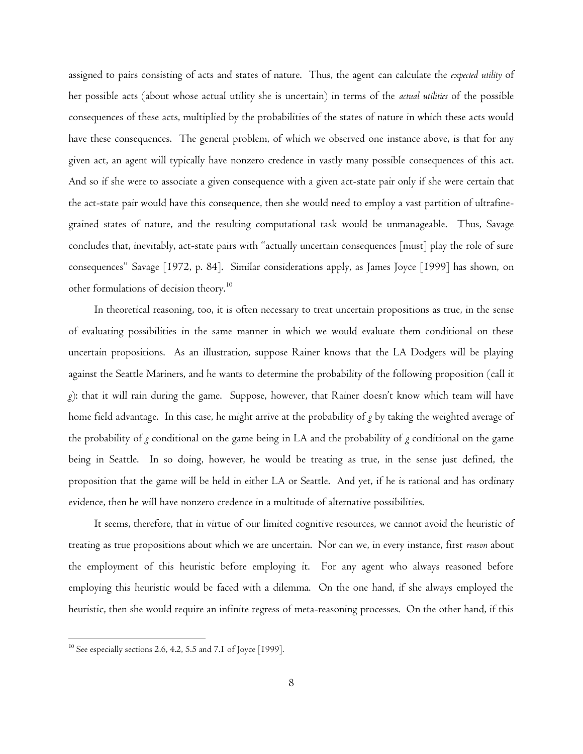assigned to pairs consisting of acts and states of nature. Thus, the agent can calculate the *expected utility* of her possible acts (about whose actual utility she is uncertain) in terms of the *actual utilities* of the possible consequences of these acts, multiplied by the probabilities of the states of nature in which these acts would have these consequences. The general problem, of which we observed one instance above, is that for any given act, an agent will typically have nonzero credence in vastly many possible consequences of this act. And so if she were to associate a given consequence with a given act-state pair only if she were certain that the act-state pair would have this consequence, then she would need to employ a vast partition of ultrafinegrained states of nature, and the resulting computational task would be unmanageable. Thus, Savage concludes that, inevitably, act-state pairs with "actually uncertain consequences [must] play the role of sure consequences" Savage [1972, p. 84]. Similar considerations apply, as James Joyce [1999] has shown, on other formulations of decision theory.<sup>10</sup>

In theoretical reasoning, too, it is often necessary to treat uncertain propositions as true, in the sense of evaluating possibilities in the same manner in which we would evaluate them conditional on these uncertain propositions. As an illustration, suppose Rainer knows that the LA Dodgers will be playing against the Seattle Mariners, and he wants to determine the probability of the following proposition (call it *g*): that it will rain during the game. Suppose, however, that Rainer doesn't know which team will have home field advantage. In this case, he might arrive at the probability of *g* by taking the weighted average of the probability of *g* conditional on the game being in LA and the probability of *g* conditional on the game being in Seattle. In so doing, however, he would be treating as true, in the sense just defined, the proposition that the game will be held in either LA or Seattle. And yet, if he is rational and has ordinary evidence, then he will have nonzero credence in a multitude of alternative possibilities.

It seems, therefore, that in virtue of our limited cognitive resources, we cannot avoid the heuristic of treating as true propositions about which we are uncertain. Nor can we, in every instance, first *reason* about the employment of this heuristic before employing it. For any agent who always reasoned before employing this heuristic would be faced with a dilemma. On the one hand, if she always employed the heuristic, then she would require an infinite regress of meta-reasoning processes. On the other hand, if this

 $10$  See especially sections 2.6, 4.2, 5.5 and 7.1 of Joyce [1999].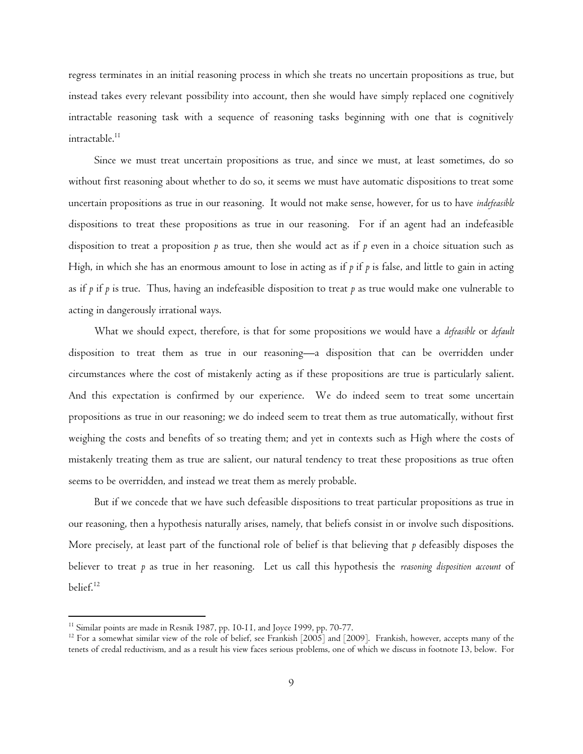regress terminates in an initial reasoning process in which she treats no uncertain propositions as true, but instead takes every relevant possibility into account, then she would have simply replaced one cognitively intractable reasoning task with a sequence of reasoning tasks beginning with one that is cognitively intractable.<sup>11</sup>

Since we must treat uncertain propositions as true, and since we must, at least sometimes, do so without first reasoning about whether to do so, it seems we must have automatic dispositions to treat some uncertain propositions as true in our reasoning. It would not make sense, however, for us to have *indefeasible* dispositions to treat these propositions as true in our reasoning. For if an agent had an indefeasible disposition to treat a proposition *p* as true, then she would act as if *p* even in a choice situation such as High, in which she has an enormous amount to lose in acting as if *p* if *p* is false, and little to gain in acting as if *p* if *p* is true. Thus, having an indefeasible disposition to treat *p* as true would make one vulnerable to acting in dangerously irrational ways.

What we should expect, therefore, is that for some propositions we would have a *defeasible* or *default* disposition to treat them as true in our reasoning—a disposition that can be overridden under circumstances where the cost of mistakenly acting as if these propositions are true is particularly salient. And this expectation is confirmed by our experience. We do indeed seem to treat some uncertain propositions as true in our reasoning; we do indeed seem to treat them as true automatically, without first weighing the costs and benefits of so treating them; and yet in contexts such as High where the costs of mistakenly treating them as true are salient, our natural tendency to treat these propositions as true often seems to be overridden, and instead we treat them as merely probable.

But if we concede that we have such defeasible dispositions to treat particular propositions as true in our reasoning, then a hypothesis naturally arises, namely, that beliefs consist in or involve such dispositions. More precisely, at least part of the functional role of belief is that believing that *p* defeasibly disposes the believer to treat *p* as true in her reasoning. Let us call this hypothesis the *reasoning disposition account* of belief.<sup>12</sup>

<sup>&</sup>lt;sup>11</sup> Similar points are made in Resnik 1987, pp. 10-11, and Joyce 1999, pp. 70-77.

<sup>&</sup>lt;sup>12</sup> For a somewhat similar view of the role of belief, see Frankish [2005] and [2009]. Frankish, however, accepts many of the tenets of credal reductivism, and as a result his view faces serious problems, one of which we discuss in footnote 13, below. For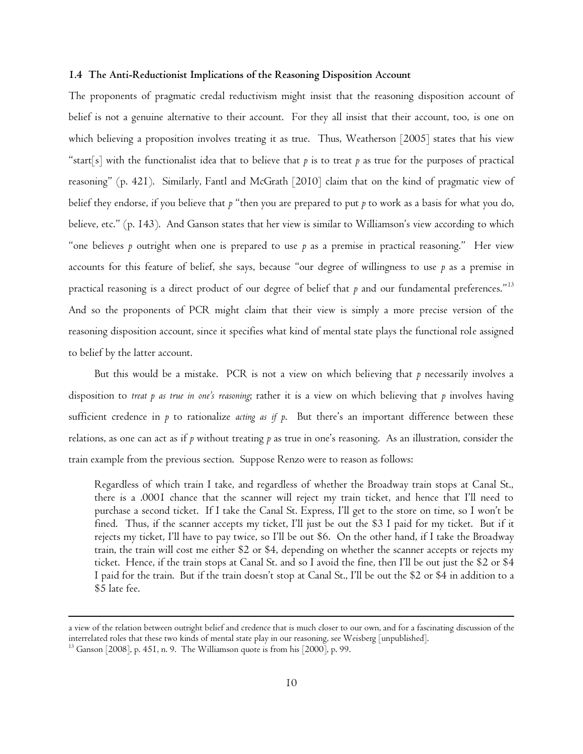#### **1.4 The Anti-Reductionist Implications of the Reasoning Disposition Account**

The proponents of pragmatic credal reductivism might insist that the reasoning disposition account of belief is not a genuine alternative to their account. For they all insist that their account, too, is one on which believing a proposition involves treating it as true. Thus, Weatherson [2005] states that his view "start[s] with the functionalist idea that to believe that *p* is to treat *p* as true for the purposes of practical reasoning" (p. 421). Similarly, Fantl and McGrath [2010] claim that on the kind of pragmatic view of belief they endorse, if you believe that *p* "then you are prepared to put *p* to work as a basis for what you do, believe, etc." (p. 143). And Ganson states that her view is similar to Williamson's view according to which "one believes *p* outright when one is prepared to use *p* as a premise in practical reasoning." Her view accounts for this feature of belief, she says, because "our degree of willingness to use *p* as a premise in practical reasoning is a direct product of our degree of belief that  $p$  and our fundamental preferences." $^{13}$ And so the proponents of PCR might claim that their view is simply a more precise version of the reasoning disposition account, since it specifies what kind of mental state plays the functional role assigned to belief by the latter account.

But this would be a mistake. PCR is not a view on which believing that *p* necessarily involves a disposition to *treat p as true in one's reasoning*; rather it is a view on which believing that *p* involves having sufficient credence in *p* to rationalize *acting as if p*. But there's an important difference between these relations, as one can act as if *p* without treating *p* as true in one's reasoning. As an illustration, consider the train example from the previous section. Suppose Renzo were to reason as follows:

Regardless of which train I take, and regardless of whether the Broadway train stops at Canal St., there is a .0001 chance that the scanner will reject my train ticket, and hence that I'll need to purchase a second ticket. If I take the Canal St. Express, I'll get to the store on time, so I won't be fined. Thus, if the scanner accepts my ticket, I'll just be out the \$3 I paid for my ticket. But if it rejects my ticket, I'll have to pay twice, so I'll be out \$6. On the other hand, if I take the Broadway train, the train will cost me either \$2 or \$4, depending on whether the scanner accepts or rejects my ticket. Hence, if the train stops at Canal St. and so I avoid the fine, then I'll be out just the \$2 or \$4 I paid for the train. But if the train doesn't stop at Canal St., I'll be out the \$2 or \$4 in addition to a \$5 late fee.

a view of the relation between outright belief and credence that is much closer to our own, and for a fascinating discussion of the interrelated roles that these two kinds of mental state play in our reasoning, see Weisberg [unpublished].

 $^{13}$  Ganson [2008], p. 451, n. 9. The Williamson quote is from his [2000], p. 99.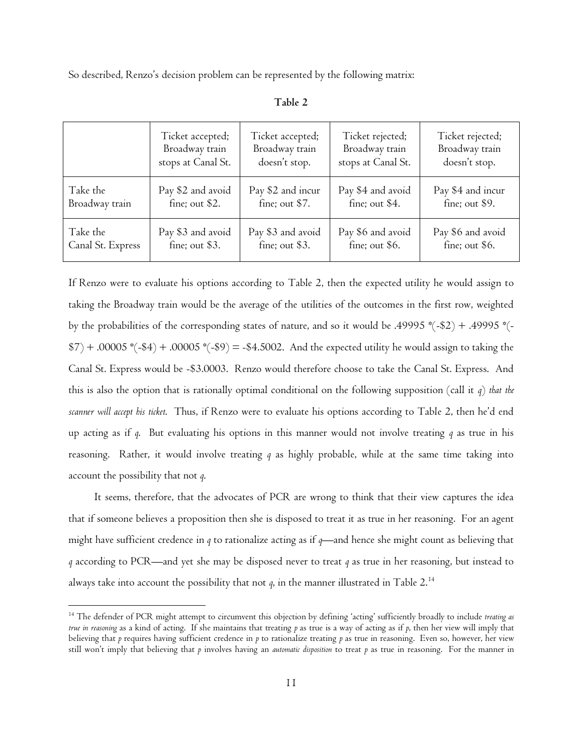So described, Renzo's decision problem can be represented by the following matrix:

#### **Table 2**

|                   | Ticket accepted;   | Ticket accepted;  | Ticket rejected;   | Ticket rejected;  |
|-------------------|--------------------|-------------------|--------------------|-------------------|
|                   | Broadway train     | Broadway train    | Broadway train     | Broadway train    |
|                   | stops at Canal St. | doesn't stop.     | stops at Canal St. | doesn't stop.     |
| Take the          | Pay \$2 and avoid  | Pay \$2 and incur | Pay \$4 and avoid  | Pay \$4 and incur |
| Broadway train    | fine; out \$2.     | fine; out \$7.    | fine; out \$4.     | fine; out \$9.    |
| Take the          | Pay \$3 and avoid  | Pay \$3 and avoid | Pay \$6 and avoid  | Pay \$6 and avoid |
| Canal St. Express | fine; out \$3.     | fine; out \$3.    | fine; out \$6.     | fine; out \$6.    |

If Renzo were to evaluate his options according to Table 2, then the expected utility he would assign to taking the Broadway train would be the average of the utilities of the outcomes in the first row, weighted by the probabilities of the corresponding states of nature, and so it would be .49995  $*(-\$2) + .49995$   $*(-\$2)$  $$7) + .00005$  \*(-\$4) + .00005 \*(-\$9) = -\$4.5002. And the expected utility he would assign to taking the Canal St. Express would be -\$3.0003. Renzo would therefore choose to take the Canal St. Express. And this is also the option that is rationally optimal conditional on the following supposition (call it *q*) *that the scanner will accept his ticket*. Thus, if Renzo were to evaluate his options according to Table 2, then he'd end up acting as if *q*. But evaluating his options in this manner would not involve treating *q* as true in his reasoning. Rather, it would involve treating *q* as highly probable, while at the same time taking into account the possibility that not *q*.

It seems, therefore, that the advocates of PCR are wrong to think that their view captures the idea that if someone believes a proposition then she is disposed to treat it as true in her reasoning. For an agent might have sufficient credence in *q* to rationalize acting as if *q*—and hence she might count as believing that *q* according to PCR—and yet she may be disposed never to treat *q* as true in her reasoning, but instead to always take into account the possibility that not  $q$ , in the manner illustrated in Table 2.<sup>14</sup>

<sup>14</sup> The defender of PCR might attempt to circumvent this objection by defining 'acting' sufficiently broadly to include *treating as true in reasoning* as a kind of acting. If she maintains that treating *p* as true is a way of acting as if *p*, then her view will imply that believing that *p* requires having sufficient credence in *p* to rationalize treating *p* as true in reasoning. Even so, however, her view still won't imply that believing that *p* involves having an *automatic disposition* to treat *p* as true in reasoning. For the manner in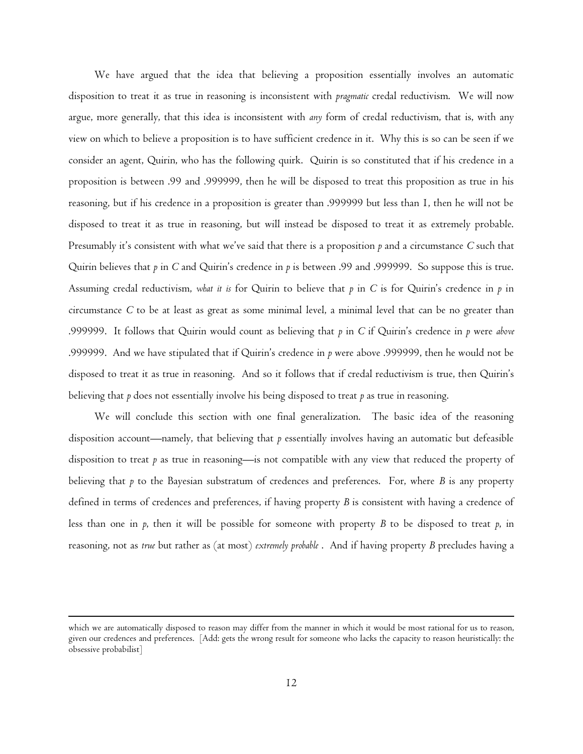We have argued that the idea that believing a proposition essentially involves an automatic disposition to treat it as true in reasoning is inconsistent with *pragmatic* credal reductivism. We will now argue, more generally, that this idea is inconsistent with *any* form of credal reductivism, that is, with any view on which to believe a proposition is to have sufficient credence in it. Why this is so can be seen if we consider an agent, Quirin, who has the following quirk. Quirin is so constituted that if his credence in a proposition is between .99 and .999999, then he will be disposed to treat this proposition as true in his reasoning, but if his credence in a proposition is greater than .999999 but less than 1, then he will not be disposed to treat it as true in reasoning, but will instead be disposed to treat it as extremely probable. Presumably it's consistent with what we've said that there is a proposition *p* and a circumstance *C* such that Quirin believes that *p* in *C* and Quirin's credence in *p* is between .99 and .999999. So suppose this is true. Assuming credal reductivism, *what it is* for Quirin to believe that *p* in *C* is for Quirin's credence in *p* in circumstance *C* to be at least as great as some minimal level, a minimal level that can be no greater than .999999. It follows that Quirin would count as believing that *p* in *C* if Quirin's credence in *p* were *above* .999999. And we have stipulated that if Quirin's credence in *p* were above .999999, then he would not be disposed to treat it as true in reasoning. And so it follows that if credal reductivism is true, then Quirin's believing that *p* does not essentially involve his being disposed to treat *p* as true in reasoning.

We will conclude this section with one final generalization. The basic idea of the reasoning disposition account—namely, that believing that *p* essentially involves having an automatic but defeasible disposition to treat *p* as true in reasoning—is not compatible with any view that reduced the property of believing that *p* to the Bayesian substratum of credences and preferences. For, where *B* is any property defined in terms of credences and preferences, if having property *B* is consistent with having a credence of less than one in *p*, then it will be possible for someone with property *B* to be disposed to treat *p*, in reasoning, not as *true* but rather as (at most) *extremely probable* . And if having property *B* precludes having a

which we are automatically disposed to reason may differ from the manner in which it would be most rational for us to reason, given our credences and preferences. [Add: gets the wrong result for someone who lacks the capacity to reason heuristically: the obsessive probabilist]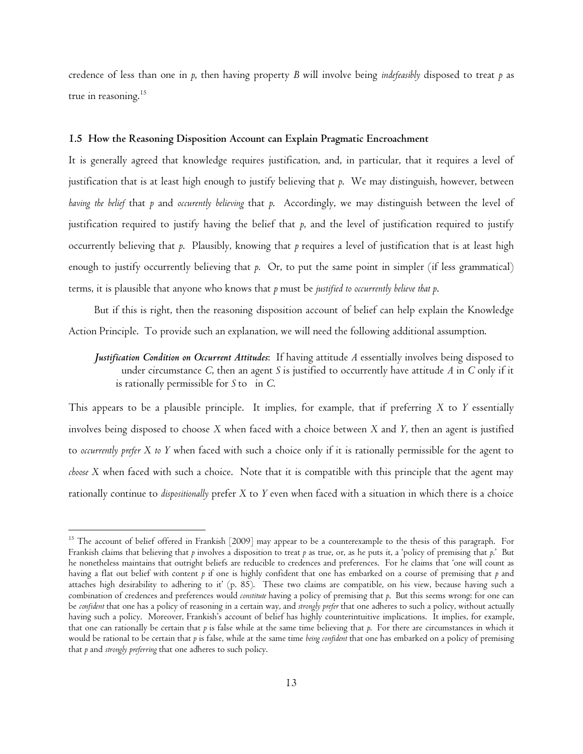credence of less than one in *p*, then having property *B* will involve being *indefeasibly* disposed to treat *p* as true in reasoning.<sup>15</sup>

#### **1.5 How the Reasoning Disposition Account can Explain Pragmatic Encroachment**

It is generally agreed that knowledge requires justification, and, in particular, that it requires a level of justification that is at least high enough to justify believing that *p*. We may distinguish, however, between *having the belief* that *p* and *occurently believing* that *p*. Accordingly, we may distinguish between the level of justification required to justify having the belief that *p*, and the level of justification required to justify occurrently believing that *p*. Plausibly, knowing that *p* requires a level of justification that is at least high enough to justify occurrently believing that *p*. Or, to put the same point in simpler (if less grammatical) terms, it is plausible that anyone who knows that *p* must be *justified to occurrently believe that p*.

But if this is right, then the reasoning disposition account of belief can help explain the Knowledge Action Principle. To provide such an explanation, we will need the following additional assumption.

*Justification Condition on Occurrent Attitudes*: If having attitude *A* essentially involves being disposed to under circumstance *C*, then an agent *S* is justified to occurrently have attitude *A* in *C* only if it is rationally permissible for *S* to in *C*.

This appears to be a plausible principle. It implies, for example, that if preferring *X* to *Y* essentially involves being disposed to choose *X* when faced with a choice between *X* and *Y*, then an agent is justified to *occurrently prefer X to Y* when faced with such a choice only if it is rationally permissible for the agent to *choose X* when faced with such a choice. Note that it is compatible with this principle that the agent may rationally continue to *dispositionally* prefer *X* to *Y* even when faced with a situation in which there is a choice

<sup>&</sup>lt;sup>15</sup> The account of belief offered in Frankish [2009] may appear to be a counterexample to the thesis of this paragraph. For Frankish claims that believing that *p* involves a disposition to treat *p* as true, or, as he puts it, a 'policy of premising that *p*.' But he nonetheless maintains that outright beliefs are reducible to credences and preferences. For he claims that 'one will count as having a flat out belief with content *p* if one is highly confident that one has embarked on a course of premising that *p* and attaches high desirability to adhering to it' (p. 85). These two claims are compatible, on his view, because having such a combination of credences and preferences would *constitute* having a policy of premising that *p*. But this seems wrong: for one can be *confident* that one has a policy of reasoning in a certain way, and *strongly prefer* that one adheres to such a policy, without actually having such a policy. Moreover, Frankish's account of belief has highly counterintuitive implications. It implies, for example, that one can rationally be certain that *p* is false while at the same time believing that *p*. For there are circumstances in which it would be rational to be certain that *p* is false, while at the same time *being confident* that one has embarked on a policy of premising that *p* and *strongly preferring* that one adheres to such policy.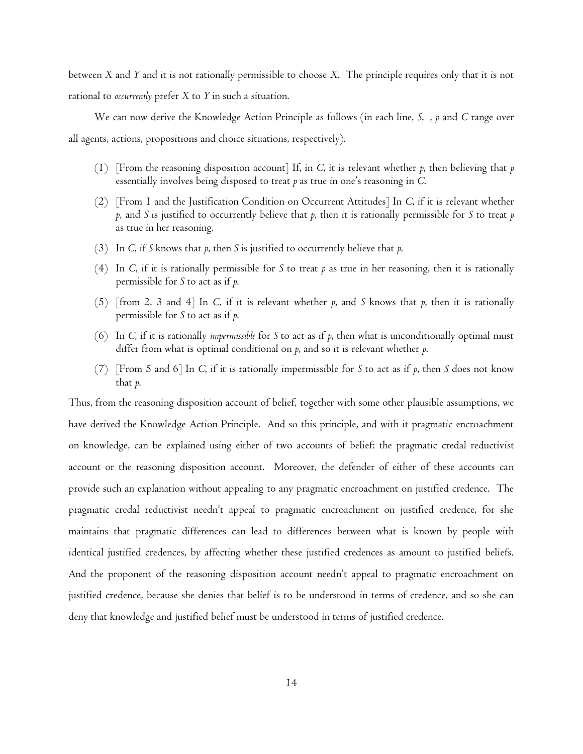between *X* and *Y* and it is not rationally permissible to choose *X*. The principle requires only that it is not rational to *occurrently* prefer *X* to *Y* in such a situation.

We can now derive the Knowledge Action Principle as follows (in each line, *S*, , *p* and *C* range over all agents, actions, propositions and choice situations, respectively).

- (1) [From the reasoning disposition account] If, in *C*, it is relevant whether *p*, then believing that *p* essentially involves being disposed to treat *p* as true in one's reasoning in *C*.
- (2) [From 1 and the Justification Condition on Occurrent Attitudes] In *C*, if it is relevant whether *p*, and *S* is justified to occurrently believe that *p*, then it is rationally permissible for *S* to treat *p* as true in her reasoning.
- (3) In *C*, if *S* knows that *p*, then *S* is justified to occurrently believe that *p*.
- (4) In *C*, if it is rationally permissible for *S* to treat *p* as true in her reasoning, then it is rationally permissible for *S* to act as if *p*.
- (5) [from 2, 3 and 4] In *C*, if it is relevant whether *p*, and *S* knows that *p*, then it is rationally permissible for *S* to act as if *p*.
- (6) In *C*, if it is rationally *impermissible* for *S* to act as if *p*, then what is unconditionally optimal must differ from what is optimal conditional on *p*, and so it is relevant whether *p*.
- (7) [From 5 and 6] In *C*, if it is rationally impermissible for *S* to act as if *p*, then *S* does not know that *p*.

Thus, from the reasoning disposition account of belief, together with some other plausible assumptions, we have derived the Knowledge Action Principle. And so this principle, and with it pragmatic encroachment on knowledge, can be explained using either of two accounts of belief: the pragmatic credal reductivist account or the reasoning disposition account. Moreover, the defender of either of these accounts can provide such an explanation without appealing to any pragmatic encroachment on justified credence. The pragmatic credal reductivist needn't appeal to pragmatic encroachment on justified credence, for she maintains that pragmatic differences can lead to differences between what is known by people with identical justified credences, by affecting whether these justified credences as amount to justified beliefs. And the proponent of the reasoning disposition account needn't appeal to pragmatic encroachment on justified credence, because she denies that belief is to be understood in terms of credence, and so she can deny that knowledge and justified belief must be understood in terms of justified credence.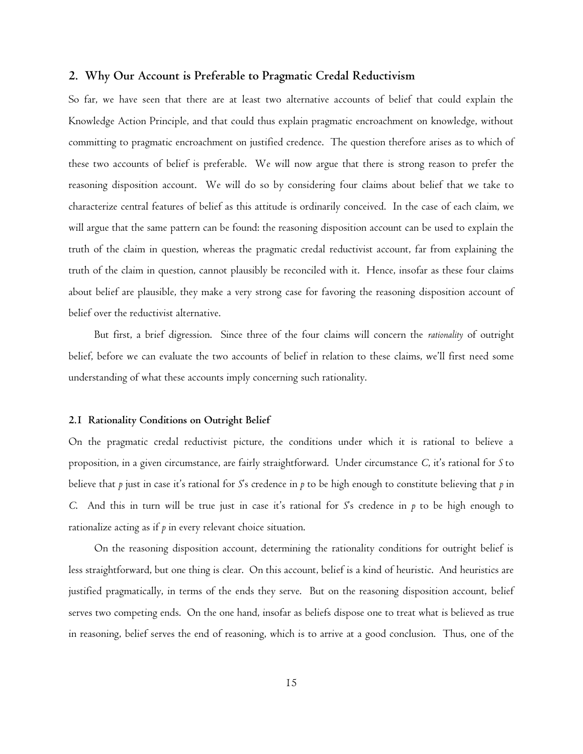## **2. Why Our Account is Preferable to Pragmatic Credal Reductivism**

So far, we have seen that there are at least two alternative accounts of belief that could explain the Knowledge Action Principle, and that could thus explain pragmatic encroachment on knowledge, without committing to pragmatic encroachment on justified credence. The question therefore arises as to which of these two accounts of belief is preferable. We will now argue that there is strong reason to prefer the reasoning disposition account. We will do so by considering four claims about belief that we take to characterize central features of belief as this attitude is ordinarily conceived. In the case of each claim, we will argue that the same pattern can be found: the reasoning disposition account can be used to explain the truth of the claim in question, whereas the pragmatic credal reductivist account, far from explaining the truth of the claim in question, cannot plausibly be reconciled with it. Hence, insofar as these four claims about belief are plausible, they make a very strong case for favoring the reasoning disposition account of belief over the reductivist alternative.

But first, a brief digression. Since three of the four claims will concern the *rationality* of outright belief, before we can evaluate the two accounts of belief in relation to these claims, we'll first need some understanding of what these accounts imply concerning such rationality.

#### **2.1 Rationality Conditions on Outright Belief**

On the pragmatic credal reductivist picture, the conditions under which it is rational to believe a proposition, in a given circumstance, are fairly straightforward. Under circumstance *C*, it's rational for *S* to believe that *p* just in case it's rational for *S*'s credence in *p* to be high enough to constitute believing that *p* in *C*. And this in turn will be true just in case it's rational for *S*'s credence in *p* to be high enough to rationalize acting as if *p* in every relevant choice situation.

On the reasoning disposition account, determining the rationality conditions for outright belief is less straightforward, but one thing is clear. On this account, belief is a kind of heuristic. And heuristics are justified pragmatically, in terms of the ends they serve. But on the reasoning disposition account, belief serves two competing ends. On the one hand, insofar as beliefs dispose one to treat what is believed as true in reasoning, belief serves the end of reasoning, which is to arrive at a good conclusion. Thus, one of the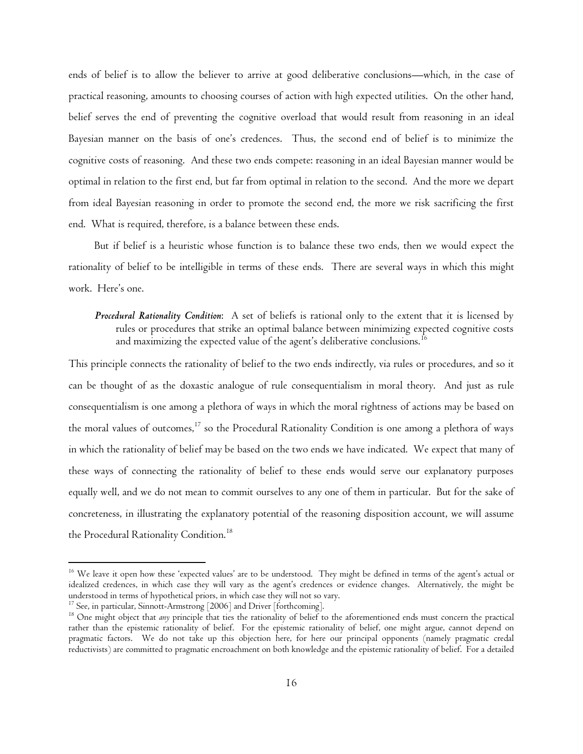ends of belief is to allow the believer to arrive at good deliberative conclusions—which, in the case of practical reasoning, amounts to choosing courses of action with high expected utilities. On the other hand, belief serves the end of preventing the cognitive overload that would result from reasoning in an ideal Bayesian manner on the basis of one's credences. Thus, the second end of belief is to minimize the cognitive costs of reasoning. And these two ends compete: reasoning in an ideal Bayesian manner would be optimal in relation to the first end, but far from optimal in relation to the second. And the more we depart from ideal Bayesian reasoning in order to promote the second end, the more we risk sacrificing the first end. What is required, therefore, is a balance between these ends.

But if belief is a heuristic whose function is to balance these two ends, then we would expect the rationality of belief to be intelligible in terms of these ends. There are several ways in which this might work. Here's one.

## *Procedural Rationality Condition*: A set of beliefs is rational only to the extent that it is licensed by rules or procedures that strike an optimal balance between minimizing expected cognitive costs and maximizing the expected value of the agent's deliberative conclusions.  $^{16}$

This principle connects the rationality of belief to the two ends indirectly, via rules or procedures, and so it can be thought of as the doxastic analogue of rule consequentialism in moral theory. And just as rule consequentialism is one among a plethora of ways in which the moral rightness of actions may be based on the moral values of outcomes,<sup>17</sup> so the Procedural Rationality Condition is one among a plethora of ways in which the rationality of belief may be based on the two ends we have indicated. We expect that many of these ways of connecting the rationality of belief to these ends would serve our explanatory purposes equally well, and we do not mean to commit ourselves to any one of them in particular. But for the sake of concreteness, in illustrating the explanatory potential of the reasoning disposition account, we will assume the Procedural Rationality Condition.<sup>18</sup>

<sup>&</sup>lt;sup>16</sup> We leave it open how these 'expected values' are to be understood. They might be defined in terms of the agent's actual or idealized credences, in which case they will vary as the agent's credences or evidence changes. Alternatively, the might be understood in terms of hypothetical priors, in which case they will not so vary.

 $17$  See, in particular, Sinnott-Armstrong [2006] and Driver [forthcoming].

<sup>&</sup>lt;sup>18</sup> One might object that *any* principle that ties the rationality of belief to the aforementioned ends must concern the practical rather than the epistemic rationality of belief. For the epistemic rationality of belief, one might argue, cannot depend on pragmatic factors. We do not take up this objection here, for here our principal opponents (namely pragmatic credal reductivists) are committed to pragmatic encroachment on both knowledge and the epistemic rationality of belief. For a detailed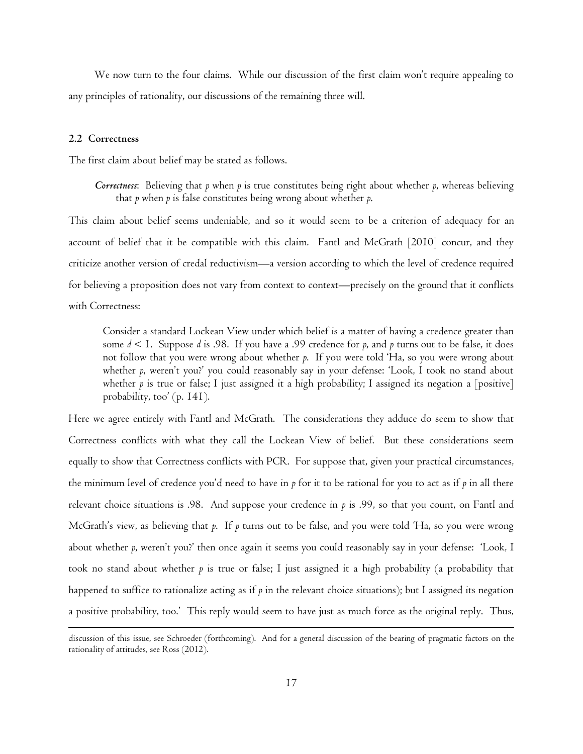We now turn to the four claims. While our discussion of the first claim won't require appealing to any principles of rationality, our discussions of the remaining three will.

#### **2.2 Correctness**

 $\overline{\phantom{a}}$ 

The first claim about belief may be stated as follows.

*Correctness*: Believing that *p* when *p* is true constitutes being right about whether *p*, whereas believing that *p* when *p* is false constitutes being wrong about whether *p*.

This claim about belief seems undeniable, and so it would seem to be a criterion of adequacy for an account of belief that it be compatible with this claim. Fantl and McGrath [2010] concur, and they criticize another version of credal reductivism—a version according to which the level of credence required for believing a proposition does not vary from context to context—precisely on the ground that it conflicts with Correctness:

Consider a standard Lockean View under which belief is a matter of having a credence greater than some *d* < 1. Suppose *d* is .98. If you have a .99 credence for *p*, and *p* turns out to be false, it does not follow that you were wrong about whether *p*. If you were told 'Ha, so you were wrong about whether *p*, weren't you?' you could reasonably say in your defense: 'Look, I took no stand about whether  $p$  is true or false; I just assigned it a high probability; I assigned its negation a [positive] probability, too' (p. 141).

Here we agree entirely with Fantl and McGrath. The considerations they adduce do seem to show that Correctness conflicts with what they call the Lockean View of belief. But these considerations seem equally to show that Correctness conflicts with PCR. For suppose that, given your practical circumstances, the minimum level of credence you'd need to have in *p* for it to be rational for you to act as if *p* in all there relevant choice situations is .98. And suppose your credence in *p* is .99, so that you count, on Fantl and McGrath's view, as believing that *p*. If *p* turns out to be false, and you were told 'Ha, so you were wrong about whether *p*, weren't you?' then once again it seems you could reasonably say in your defense: 'Look, I took no stand about whether *p* is true or false; I just assigned it a high probability (a probability that happened to suffice to rationalize acting as if *p* in the relevant choice situations); but I assigned its negation a positive probability, too.' This reply would seem to have just as much force as the original reply. Thus,

discussion of this issue, see Schroeder (forthcoming). And for a general discussion of the bearing of pragmatic factors on the rationality of attitudes, see Ross (2012).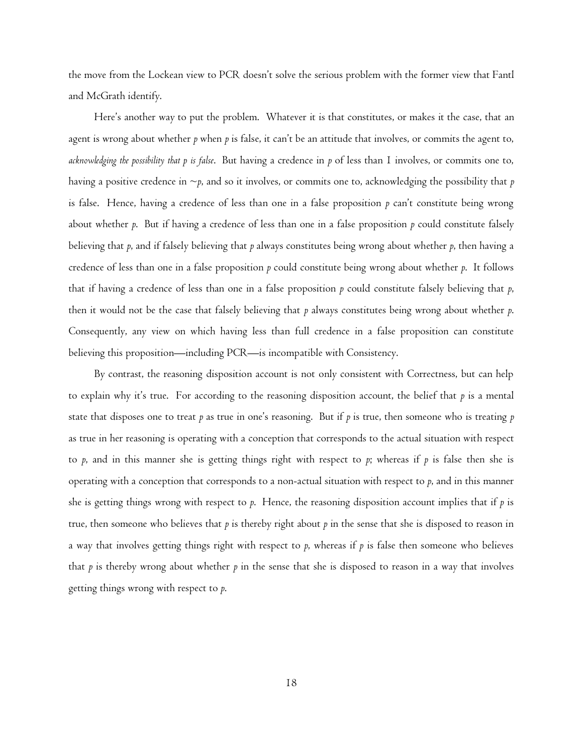the move from the Lockean view to PCR doesn't solve the serious problem with the former view that Fantl and McGrath identify.

Here's another way to put the problem. Whatever it is that constitutes, or makes it the case, that an agent is wrong about whether *p* when *p* is false, it can't be an attitude that involves, or commits the agent to, *acknowledging the possibility that p is false*. But having a credence in *p* of less than 1 involves, or commits one to, having a positive credence in ~*p*, and so it involves, or commits one to, acknowledging the possibility that *p* is false. Hence, having a credence of less than one in a false proposition *p* can't constitute being wrong about whether *p*. But if having a credence of less than one in a false proposition *p* could constitute falsely believing that *p*, and if falsely believing that *p* always constitutes being wrong about whether *p*, then having a credence of less than one in a false proposition *p* could constitute being wrong about whether *p*. It follows that if having a credence of less than one in a false proposition *p* could constitute falsely believing that *p*, then it would not be the case that falsely believing that *p* always constitutes being wrong about whether *p*. Consequently, any view on which having less than full credence in a false proposition can constitute believing this proposition—including PCR—is incompatible with Consistency.

By contrast, the reasoning disposition account is not only consistent with Correctness, but can help to explain why it's true. For according to the reasoning disposition account, the belief that *p* is a mental state that disposes one to treat *p* as true in one's reasoning. But if *p* is true, then someone who is treating *p* as true in her reasoning is operating with a conception that corresponds to the actual situation with respect to *p*, and in this manner she is getting things right with respect to *p*; whereas if *p* is false then she is operating with a conception that corresponds to a non-actual situation with respect to *p*, and in this manner she is getting things wrong with respect to *p*. Hence, the reasoning disposition account implies that if *p* is true, then someone who believes that *p* is thereby right about *p* in the sense that she is disposed to reason in a way that involves getting things right with respect to *p*, whereas if *p* is false then someone who believes that *p* is thereby wrong about whether *p* in the sense that she is disposed to reason in a way that involves getting things wrong with respect to *p*.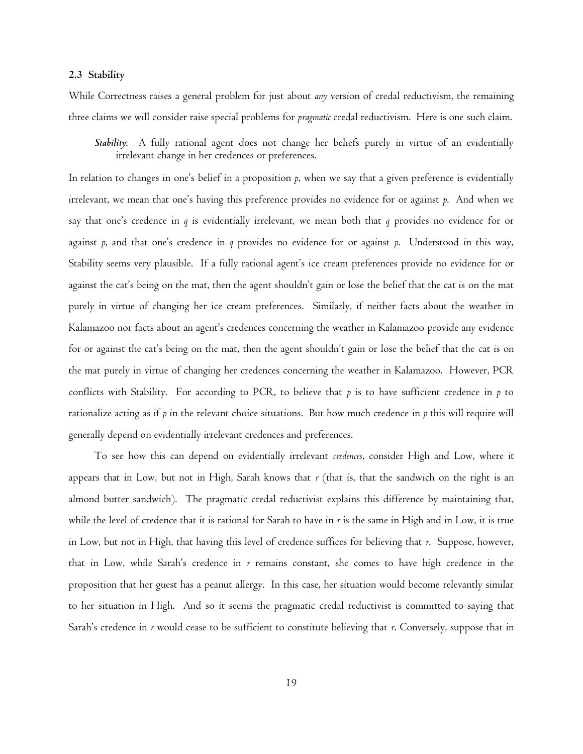#### **2.3 Stability**

While Correctness raises a general problem for just about *any* version of credal reductivism, the remaining three claims we will consider raise special problems for *pragmatic* credal reductivism. Here is one such claim.

*Stability*: A fully rational agent does not change her beliefs purely in virtue of an evidentially irrelevant change in her credences or preferences.

In relation to changes in one's belief in a proposition *p*, when we say that a given preference is evidentially irrelevant, we mean that one's having this preference provides no evidence for or against *p*. And when we say that one's credence in *q* is evidentially irrelevant, we mean both that *q* provides no evidence for or against *p*, and that one's credence in *q* provides no evidence for or against *p*. Understood in this way, Stability seems very plausible. If a fully rational agent's ice cream preferences provide no evidence for or against the cat's being on the mat, then the agent shouldn't gain or lose the belief that the cat is on the mat purely in virtue of changing her ice cream preferences. Similarly, if neither facts about the weather in Kalamazoo nor facts about an agent's credences concerning the weather in Kalamazoo provide any evidence for or against the cat's being on the mat, then the agent shouldn't gain or lose the belief that the cat is on the mat purely in virtue of changing her credences concerning the weather in Kalamazoo. However, PCR conflicts with Stability. For according to PCR, to believe that *p* is to have sufficient credence in *p* to rationalize acting as if *p* in the relevant choice situations. But how much credence in *p* this will require will generally depend on evidentially irrelevant credences and preferences.

To see how this can depend on evidentially irrelevant *credences*, consider High and Low, where it appears that in Low, but not in High, Sarah knows that *r* (that is, that the sandwich on the right is an almond butter sandwich). The pragmatic credal reductivist explains this difference by maintaining that, while the level of credence that it is rational for Sarah to have in *r* is the same in High and in Low, it is true in Low, but not in High, that having this level of credence suffices for believing that *r*. Suppose, however, that in Low, while Sarah's credence in *r* remains constant, she comes to have high credence in the proposition that her guest has a peanut allergy. In this case, her situation would become relevantly similar to her situation in High. And so it seems the pragmatic credal reductivist is committed to saying that Sarah's credence in *r* would cease to be sufficient to constitute believing that *r*. Conversely, suppose that in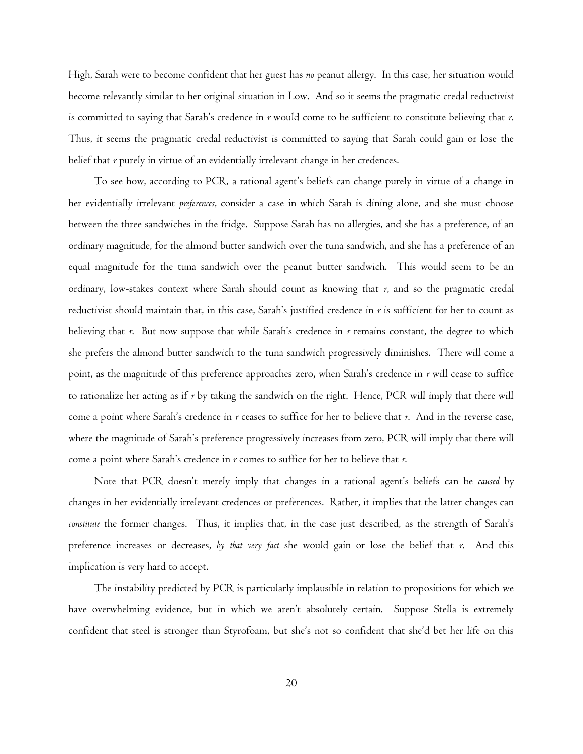High, Sarah were to become confident that her guest has *no* peanut allergy. In this case, her situation would become relevantly similar to her original situation in Low. And so it seems the pragmatic credal reductivist is committed to saying that Sarah's credence in *r* would come to be sufficient to constitute believing that *r*. Thus, it seems the pragmatic credal reductivist is committed to saying that Sarah could gain or lose the belief that *r* purely in virtue of an evidentially irrelevant change in her credences.

To see how, according to PCR, a rational agent's beliefs can change purely in virtue of a change in her evidentially irrelevant *preferences*, consider a case in which Sarah is dining alone, and she must choose between the three sandwiches in the fridge. Suppose Sarah has no allergies, and she has a preference, of an ordinary magnitude, for the almond butter sandwich over the tuna sandwich, and she has a preference of an equal magnitude for the tuna sandwich over the peanut butter sandwich. This would seem to be an ordinary, low-stakes context where Sarah should count as knowing that *r*, and so the pragmatic credal reductivist should maintain that, in this case, Sarah's justified credence in *r* is sufficient for her to count as believing that *r*. But now suppose that while Sarah's credence in *r* remains constant, the degree to which she prefers the almond butter sandwich to the tuna sandwich progressively diminishes. There will come a point, as the magnitude of this preference approaches zero, when Sarah's credence in *r* will cease to suffice to rationalize her acting as if *r* by taking the sandwich on the right. Hence, PCR will imply that there will come a point where Sarah's credence in *r* ceases to suffice for her to believe that *r*. And in the reverse case, where the magnitude of Sarah's preference progressively increases from zero, PCR will imply that there will come a point where Sarah's credence in *r* comes to suffice for her to believe that *r*.

Note that PCR doesn't merely imply that changes in a rational agent's beliefs can be *caused* by changes in her evidentially irrelevant credences or preferences. Rather, it implies that the latter changes can *constitute* the former changes. Thus, it implies that, in the case just described, as the strength of Sarah's preference increases or decreases, *by that very fact* she would gain or lose the belief that *r*. And this implication is very hard to accept.

The instability predicted by PCR is particularly implausible in relation to propositions for which we have overwhelming evidence, but in which we aren't absolutely certain. Suppose Stella is extremely confident that steel is stronger than Styrofoam, but she's not so confident that she'd bet her life on this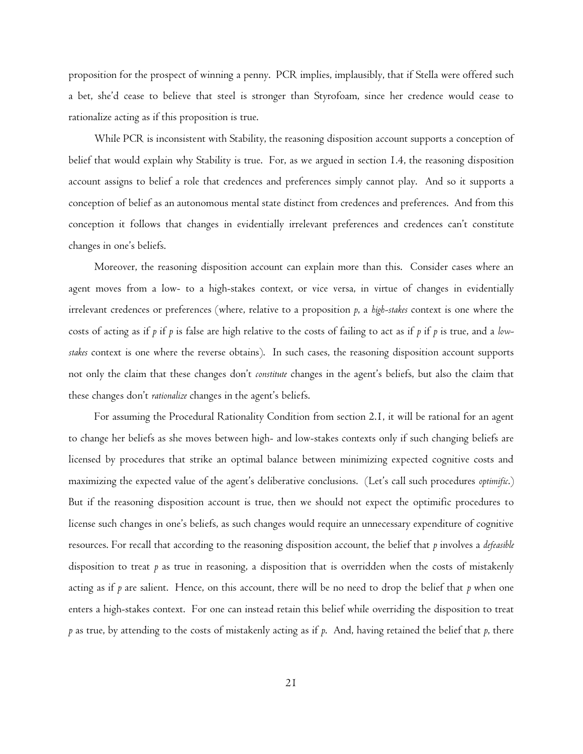proposition for the prospect of winning a penny. PCR implies, implausibly, that if Stella were offered such a bet, she'd cease to believe that steel is stronger than Styrofoam, since her credence would cease to rationalize acting as if this proposition is true.

While PCR is inconsistent with Stability, the reasoning disposition account supports a conception of belief that would explain why Stability is true. For, as we argued in section 1.4, the reasoning disposition account assigns to belief a role that credences and preferences simply cannot play. And so it supports a conception of belief as an autonomous mental state distinct from credences and preferences. And from this conception it follows that changes in evidentially irrelevant preferences and credences can't constitute changes in one's beliefs.

Moreover, the reasoning disposition account can explain more than this. Consider cases where an agent moves from a low- to a high-stakes context, or vice versa, in virtue of changes in evidentially irrelevant credences or preferences (where, relative to a proposition *p*, a *high-stakes* context is one where the costs of acting as if *p* if *p* is false are high relative to the costs of failing to act as if *p* if *p* is true, and a *lowstakes* context is one where the reverse obtains). In such cases, the reasoning disposition account supports not only the claim that these changes don't *constitute* changes in the agent's beliefs, but also the claim that these changes don't *rationalize* changes in the agent's beliefs.

For assuming the Procedural Rationality Condition from section 2.1, it will be rational for an agent to change her beliefs as she moves between high- and low-stakes contexts only if such changing beliefs are licensed by procedures that strike an optimal balance between minimizing expected cognitive costs and maximizing the expected value of the agent's deliberative conclusions. (Let's call such procedures *optimific*.) But if the reasoning disposition account is true, then we should not expect the optimific procedures to license such changes in one's beliefs, as such changes would require an unnecessary expenditure of cognitive resources. For recall that according to the reasoning disposition account, the belief that *p* involves a *defeasible* disposition to treat *p* as true in reasoning, a disposition that is overridden when the costs of mistakenly acting as if *p* are salient. Hence, on this account, there will be no need to drop the belief that *p* when one enters a high-stakes context. For one can instead retain this belief while overriding the disposition to treat *p* as true, by attending to the costs of mistakenly acting as if *p*. And, having retained the belief that *p*, there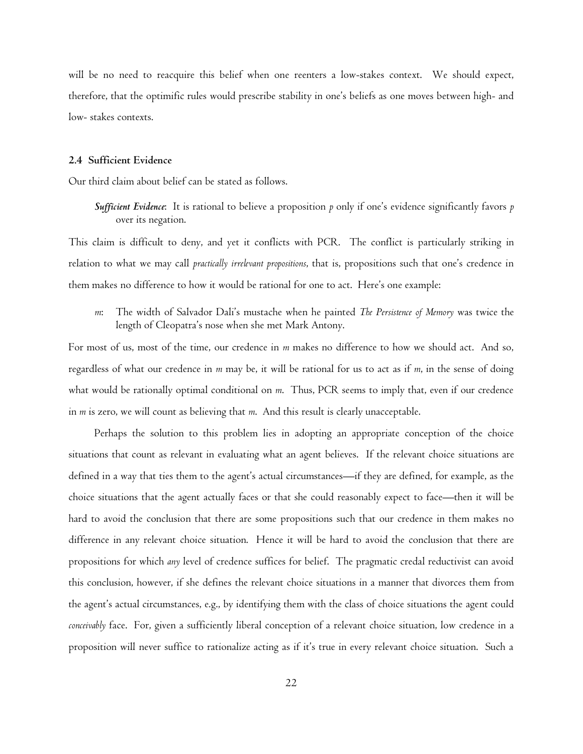will be no need to reacquire this belief when one reenters a low-stakes context. We should expect, therefore, that the optimific rules would prescribe stability in one's beliefs as one moves between high- and low- stakes contexts.

#### **2.4 Sufficient Evidence**

Our third claim about belief can be stated as follows.

*Sufficient Evidence*: It is rational to believe a proposition *p* only if one's evidence significantly favors *p* over its negation.

This claim is difficult to deny, and yet it conflicts with PCR. The conflict is particularly striking in relation to what we may call *practically irrelevant propositions*, that is, propositions such that one's credence in them makes no difference to how it would be rational for one to act. Here's one example:

*m*: The width of Salvador Dali's mustache when he painted *The Persistence of Memory* was twice the length of Cleopatra's nose when she met Mark Antony.

For most of us, most of the time, our credence in *m* makes no difference to how we should act. And so, regardless of what our credence in *m* may be, it will be rational for us to act as if *m*, in the sense of doing what would be rationally optimal conditional on *m*. Thus, PCR seems to imply that, even if our credence in *m* is zero, we will count as believing that *m*. And this result is clearly unacceptable.

Perhaps the solution to this problem lies in adopting an appropriate conception of the choice situations that count as relevant in evaluating what an agent believes. If the relevant choice situations are defined in a way that ties them to the agent's actual circumstances—if they are defined, for example, as the choice situations that the agent actually faces or that she could reasonably expect to face—then it will be hard to avoid the conclusion that there are some propositions such that our credence in them makes no difference in any relevant choice situation. Hence it will be hard to avoid the conclusion that there are propositions for which *any* level of credence suffices for belief. The pragmatic credal reductivist can avoid this conclusion, however, if she defines the relevant choice situations in a manner that divorces them from the agent's actual circumstances, e.g., by identifying them with the class of choice situations the agent could *conceivably* face. For, given a sufficiently liberal conception of a relevant choice situation, low credence in a proposition will never suffice to rationalize acting as if it's true in every relevant choice situation. Such a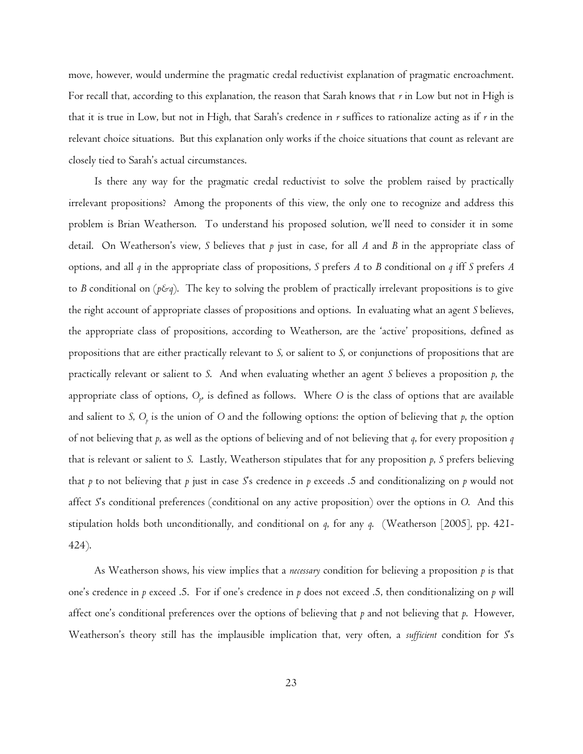move, however, would undermine the pragmatic credal reductivist explanation of pragmatic encroachment. For recall that, according to this explanation, the reason that Sarah knows that *r* in Low but not in High is that it is true in Low, but not in High, that Sarah's credence in *r* suffices to rationalize acting as if *r* in the relevant choice situations. But this explanation only works if the choice situations that count as relevant are closely tied to Sarah's actual circumstances.

Is there any way for the pragmatic credal reductivist to solve the problem raised by practically irrelevant propositions? Among the proponents of this view, the only one to recognize and address this problem is Brian Weatherson. To understand his proposed solution, we'll need to consider it in some detail. On Weatherson's view, *S* believes that *p* just in case, for all *A* and *B* in the appropriate class of options, and all *q* in the appropriate class of propositions, *S* prefers *A* to *B* conditional on *q* iff *S* prefers *A* to *B* conditional on (*p&q*). The key to solving the problem of practically irrelevant propositions is to give the right account of appropriate classes of propositions and options. In evaluating what an agent *S* believes, the appropriate class of propositions, according to Weatherson, are the 'active' propositions, defined as propositions that are either practically relevant to *S*, or salient to *S*, or conjunctions of propositions that are practically relevant or salient to *S*. And when evaluating whether an agent *S* believes a proposition *p*, the appropriate class of options,  $O_p$ , is defined as follows. Where *O* is the class of options that are available and salient to *S*,  $O_p$  is the union of *O* and the following options: the option of believing that *p*, the option of not believing that *p*, as well as the options of believing and of not believing that *q*, for every proposition *q* that is relevant or salient to *S*. Lastly, Weatherson stipulates that for any proposition *p*, *S* prefers believing that *p* to not believing that *p* just in case *S*'s credence in *p* exceeds .5 and conditionalizing on *p* would not affect *S*'s conditional preferences (conditional on any active proposition) over the options in *O*. And this stipulation holds both unconditionally, and conditional on *q*, for any *q*. (Weatherson [2005], pp. 421- 424).

As Weatherson shows, his view implies that a *necessary* condition for believing a proposition *p* is that one's credence in *p* exceed .5. For if one's credence in *p* does not exceed .5, then conditionalizing on *p* will affect one's conditional preferences over the options of believing that *p* and not believing that *p*. However, Weatherson's theory still has the implausible implication that, very often, a *sufficient* condition for *S*'s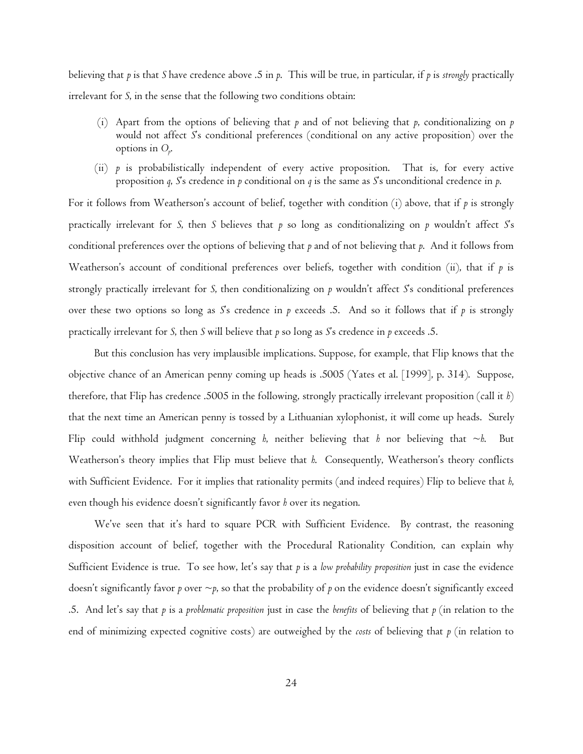believing that *p* is that *S* have credence above .5 in *p*. This will be true, in particular, if *p* is *strongly* practically irrelevant for *S*, in the sense that the following two conditions obtain:

- (i) Apart from the options of believing that *p* and of not believing that *p*, conditionalizing on *p* would not affect *S*'s conditional preferences (conditional on any active proposition) over the options in  $O<sub>n</sub>$ . .
- (ii) *p* is probabilistically independent of every active proposition. That is, for every active proposition *q*, *S*'s credence in *p* conditional on *q* is the same as *S*'s unconditional credence in *p*.

For it follows from Weatherson's account of belief, together with condition (i) above, that if *p* is strongly practically irrelevant for *S*, then *S* believes that *p* so long as conditionalizing on *p* wouldn't affect *S*'s conditional preferences over the options of believing that *p* and of not believing that *p*. And it follows from Weatherson's account of conditional preferences over beliefs, together with condition (ii), that if *p* is strongly practically irrelevant for *S*, then conditionalizing on *p* wouldn't affect *S*'s conditional preferences over these two options so long as *S*'s credence in *p* exceeds .5. And so it follows that if *p* is strongly practically irrelevant for *S*, then *S* will believe that *p* so long as *S*'s credence in *p* exceeds .5.

But this conclusion has very implausible implications. Suppose, for example, that Flip knows that the objective chance of an American penny coming up heads is .5005 (Yates et al. [1999], p. 314). Suppose, therefore, that Flip has credence .5005 in the following, strongly practically irrelevant proposition (call it *h*) that the next time an American penny is tossed by a Lithuanian xylophonist, it will come up heads. Surely Flip could withhold judgment concerning *h*, neither believing that *h* nor believing that ~*h*. But Weatherson's theory implies that Flip must believe that *h*. Consequently, Weatherson's theory conflicts with Sufficient Evidence. For it implies that rationality permits (and indeed requires) Flip to believe that *h*, even though his evidence doesn't significantly favor *h* over its negation.

We've seen that it's hard to square PCR with Sufficient Evidence. By contrast, the reasoning disposition account of belief, together with the Procedural Rationality Condition, can explain why Sufficient Evidence is true. To see how, let's say that *p* is a *low probability proposition* just in case the evidence doesn't significantly favor *p* over  $\neg p$ , so that the probability of *p* on the evidence doesn't significantly exceed .5. And let's say that *p* is a *problematic proposition* just in case the *benefits* of believing that *p* (in relation to the end of minimizing expected cognitive costs) are outweighed by the *costs* of believing that *p* (in relation to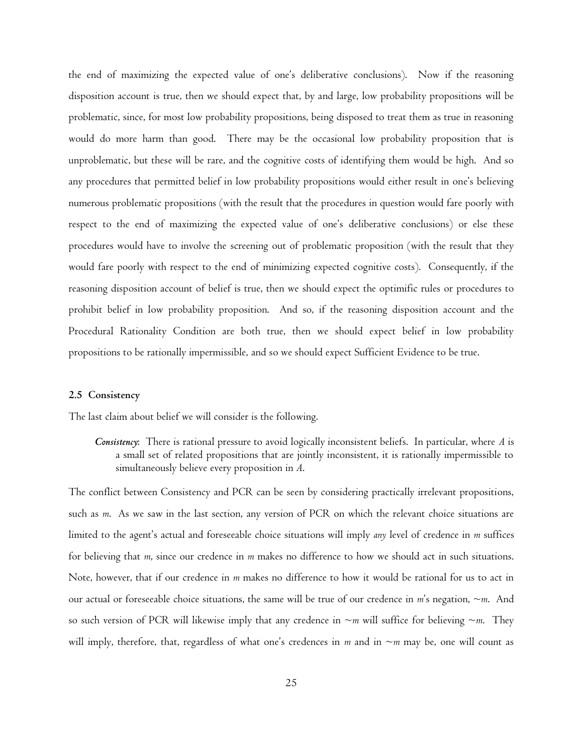the end of maximizing the expected value of one's deliberative conclusions). Now if the reasoning disposition account is true, then we should expect that, by and large, low probability propositions will be problematic, since, for most low probability propositions, being disposed to treat them as true in reasoning would do more harm than good. There may be the occasional low probability proposition that is unproblematic, but these will be rare, and the cognitive costs of identifying them would be high. And so any procedures that permitted belief in low probability propositions would either result in one's believing numerous problematic propositions (with the result that the procedures in question would fare poorly with respect to the end of maximizing the expected value of one's deliberative conclusions) or else these procedures would have to involve the screening out of problematic proposition (with the result that they would fare poorly with respect to the end of minimizing expected cognitive costs). Consequently, if the reasoning disposition account of belief is true, then we should expect the optimific rules or procedures to prohibit belief in low probability proposition. And so, if the reasoning disposition account and the Procedural Rationality Condition are both true, then we should expect belief in low probability propositions to be rationally impermissible, and so we should expect Sufficient Evidence to be true.

#### **2.5 Consistency**

The last claim about belief we will consider is the following.

*Consistency*: There is rational pressure to avoid logically inconsistent beliefs. In particular, where *A* is a small set of related propositions that are jointly inconsistent, it is rationally impermissible to simultaneously believe every proposition in *A*.

The conflict between Consistency and PCR can be seen by considering practically irrelevant propositions, such as *m*. As we saw in the last section, any version of PCR on which the relevant choice situations are limited to the agent's actual and foreseeable choice situations will imply *any* level of credence in *m* suffices for believing that *m*, since our credence in *m* makes no difference to how we should act in such situations. Note, however, that if our credence in *m* makes no difference to how it would be rational for us to act in our actual or foreseeable choice situations, the same will be true of our credence in *m*'s negation, ~*m*. And so such version of PCR will likewise imply that any credence in  $\sim$ *m* will suffice for believing  $\sim$ *m*. They will imply, therefore, that, regardless of what one's credences in *m* and in ~*m* may be, one will count as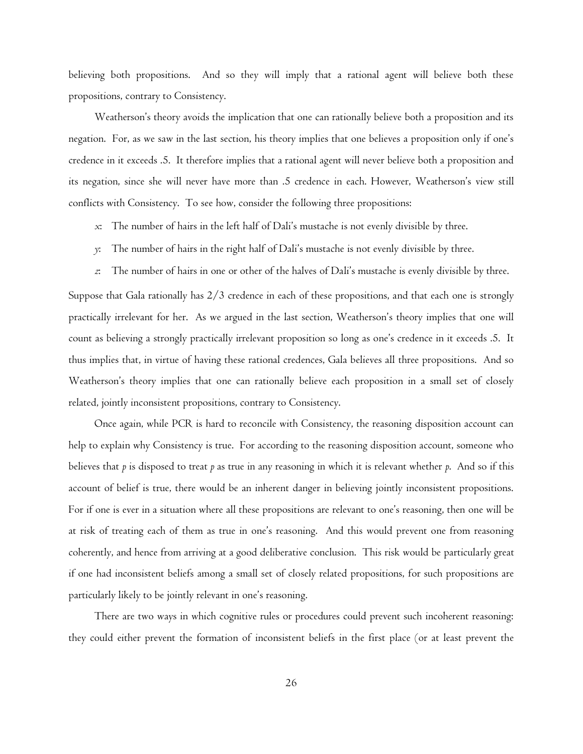believing both propositions. And so they will imply that a rational agent will believe both these propositions, contrary to Consistency.

Weatherson's theory avoids the implication that one can rationally believe both a proposition and its negation. For, as we saw in the last section, his theory implies that one believes a proposition only if one's credence in it exceeds .5. It therefore implies that a rational agent will never believe both a proposition and its negation, since she will never have more than .5 credence in each. However, Weatherson's view still conflicts with Consistency. To see how, consider the following three propositions:

- *x*: The number of hairs in the left half of Dali's mustache is not evenly divisible by three.
- *y*: The number of hairs in the right half of Dali's mustache is not evenly divisible by three.
- *z*: The number of hairs in one or other of the halves of Dali's mustache is evenly divisible by three.

Suppose that Gala rationally has 2/3 credence in each of these propositions, and that each one is strongly practically irrelevant for her. As we argued in the last section, Weatherson's theory implies that one will count as believing a strongly practically irrelevant proposition so long as one's credence in it exceeds .5. It thus implies that, in virtue of having these rational credences, Gala believes all three propositions. And so Weatherson's theory implies that one can rationally believe each proposition in a small set of closely related, jointly inconsistent propositions, contrary to Consistency.

Once again, while PCR is hard to reconcile with Consistency, the reasoning disposition account can help to explain why Consistency is true. For according to the reasoning disposition account, someone who believes that *p* is disposed to treat *p* as true in any reasoning in which it is relevant whether *p*. And so if this account of belief is true, there would be an inherent danger in believing jointly inconsistent propositions. For if one is ever in a situation where all these propositions are relevant to one's reasoning, then one will be at risk of treating each of them as true in one's reasoning. And this would prevent one from reasoning coherently, and hence from arriving at a good deliberative conclusion. This risk would be particularly great if one had inconsistent beliefs among a small set of closely related propositions, for such propositions are particularly likely to be jointly relevant in one's reasoning.

There are two ways in which cognitive rules or procedures could prevent such incoherent reasoning: they could either prevent the formation of inconsistent beliefs in the first place (or at least prevent the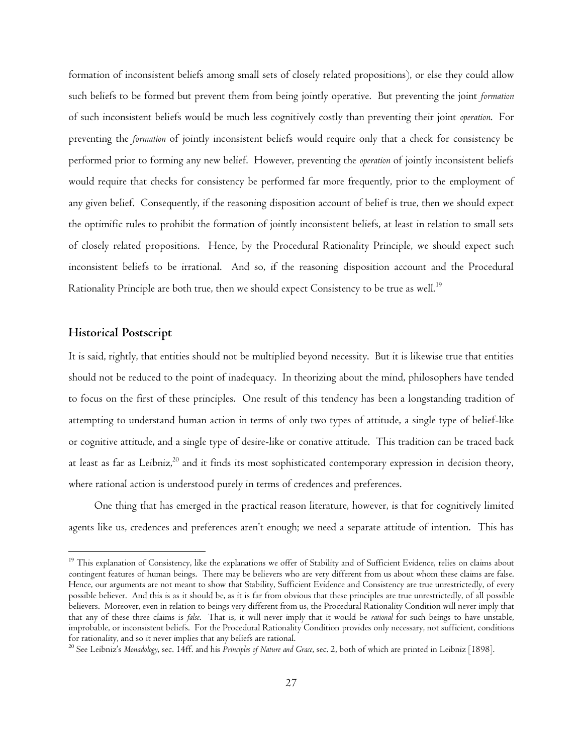formation of inconsistent beliefs among small sets of closely related propositions), or else they could allow such beliefs to be formed but prevent them from being jointly operative. But preventing the joint *formation* of such inconsistent beliefs would be much less cognitively costly than preventing their joint *operation*. For preventing the *formation* of jointly inconsistent beliefs would require only that a check for consistency be performed prior to forming any new belief. However, preventing the *operation* of jointly inconsistent beliefs would require that checks for consistency be performed far more frequently, prior to the employment of any given belief. Consequently, if the reasoning disposition account of belief is true, then we should expect the optimific rules to prohibit the formation of jointly inconsistent beliefs, at least in relation to small sets of closely related propositions. Hence, by the Procedural Rationality Principle, we should expect such inconsistent beliefs to be irrational. And so, if the reasoning disposition account and the Procedural Rationality Principle are both true, then we should expect Consistency to be true as well. $^{19}$ 

## **Historical Postscript**

 $\overline{\phantom{a}}$ 

It is said, rightly, that entities should not be multiplied beyond necessity. But it is likewise true that entities should not be reduced to the point of inadequacy. In theorizing about the mind, philosophers have tended to focus on the first of these principles. One result of this tendency has been a longstanding tradition of attempting to understand human action in terms of only two types of attitude, a single type of belief-like or cognitive attitude, and a single type of desire-like or conative attitude. This tradition can be traced back at least as far as Leibniz,<sup>20</sup> and it finds its most sophisticated contemporary expression in decision theory, where rational action is understood purely in terms of credences and preferences.

One thing that has emerged in the practical reason literature, however, is that for cognitively limited agents like us, credences and preferences aren't enough; we need a separate attitude of intention. This has

<sup>&</sup>lt;sup>19</sup> This explanation of Consistency, like the explanations we offer of Stability and of Sufficient Evidence, relies on claims about contingent features of human beings. There may be believers who are very different from us about whom these claims are false. Hence, our arguments are not meant to show that Stability, Sufficient Evidence and Consistency are true unrestrictedly, of every possible believer. And this is as it should be, as it is far from obvious that these principles are true unrestrictedly, of all possible believers. Moreover, even in relation to beings very different from us, the Procedural Rationality Condition will never imply that that any of these three claims is *false*. That is, it will never imply that it would be *rational* for such beings to have unstable, improbable, or inconsistent beliefs. For the Procedural Rationality Condition provides only necessary, not sufficient, conditions for rationality, and so it never implies that any beliefs are rational.

<sup>20</sup> See Leibniz's *Monadology*, sec. 14ff. and his *Principles of Nature and Grace*, sec. 2, both of which are printed in Leibniz [1898].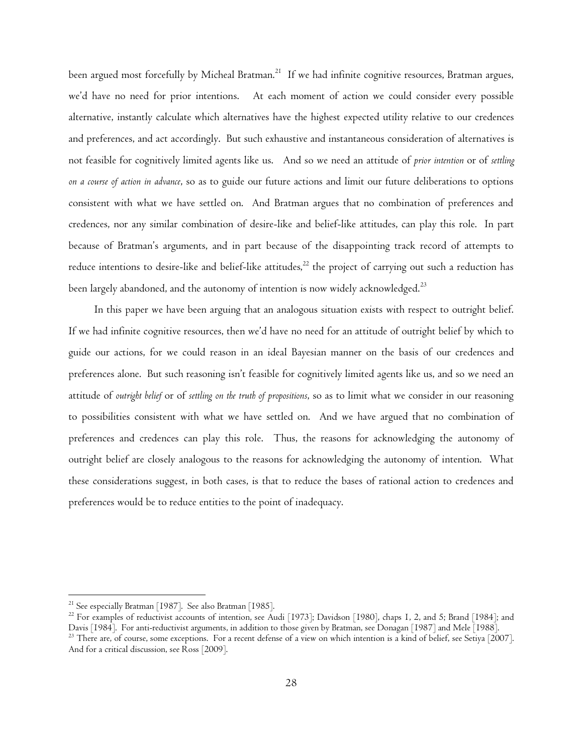been argued most forcefully by Micheal Bratman.<sup>21</sup> If we had infinite cognitive resources, Bratman argues, we'd have no need for prior intentions. At each moment of action we could consider every possible alternative, instantly calculate which alternatives have the highest expected utility relative to our credences and preferences, and act accordingly. But such exhaustive and instantaneous consideration of alternatives is not feasible for cognitively limited agents like us. And so we need an attitude of *prior intention* or of *settling on a course of action in advance*, so as to guide our future actions and limit our future deliberations to options consistent with what we have settled on. And Bratman argues that no combination of preferences and credences, nor any similar combination of desire-like and belief-like attitudes, can play this role. In part because of Bratman's arguments, and in part because of the disappointing track record of attempts to reduce intentions to desire-like and belief-like attitudes,<sup>22</sup> the project of carrying out such a reduction has been largely abandoned, and the autonomy of intention is now widely acknowledged. $^{23}$ 

In this paper we have been arguing that an analogous situation exists with respect to outright belief. If we had infinite cognitive resources, then we'd have no need for an attitude of outright belief by which to guide our actions, for we could reason in an ideal Bayesian manner on the basis of our credences and preferences alone. But such reasoning isn't feasible for cognitively limited agents like us, and so we need an attitude of *outright belief* or of *settling on the truth of propositions*, so as to limit what we consider in our reasoning to possibilities consistent with what we have settled on. And we have argued that no combination of preferences and credences can play this role. Thus, the reasons for acknowledging the autonomy of outright belief are closely analogous to the reasons for acknowledging the autonomy of intention. What these considerations suggest, in both cases, is that to reduce the bases of rational action to credences and preferences would be to reduce entities to the point of inadequacy.

 $\overline{a}$ 

<sup>&</sup>lt;sup>21</sup> See especially Bratman [1987]. See also Bratman [1985].

 $22$  For examples of reductivist accounts of intention, see Audi [1973]; Davidson [1980], chaps 1, 2, and 5; Brand [1984]; and Davis [1984]. For anti-reductivist arguments, in addition to those given by Bratman, see Donagan [1987] and Mele [1988]. <sup>23</sup> There are, of course, some exceptions. For a recent defense of a view on which intention is a kind of belief, see Setiya [2007]. And for a critical discussion, see Ross [2009].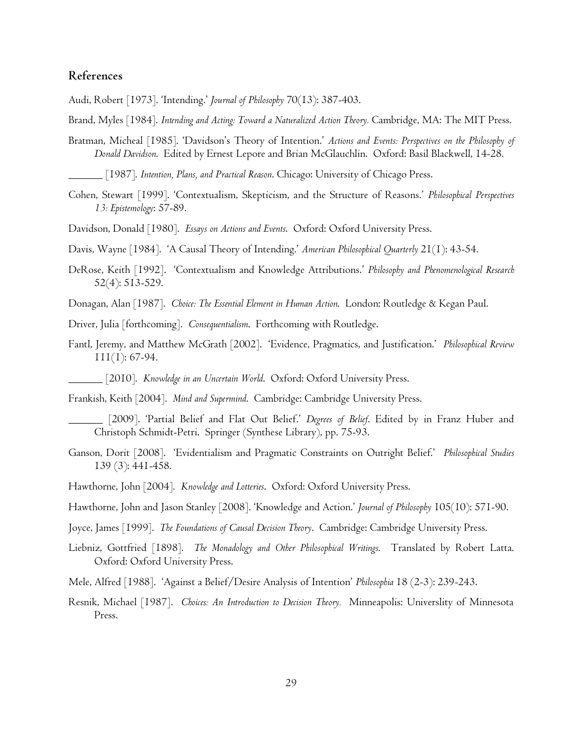## **References**

Audi, Robert [1973]. 'Intending.' *Journal of Philosophy* 70(13): 387-403.

- Brand, Myles [1984]. *Intending and Acting: Toward a Naturalized Action Theory.* Cambridge, MA: The MIT Press.
- Bratman, Micheal [1985]. 'Davidson's Theory of Intention.' *Actions and Events: Perspectives on the Philosophy of Donald Davidson*. Edited by Ernest Lepore and Brian McGlauchlin. Oxford: Basil Blackwell, 14-28.

\_\_\_\_\_\_ [1987]. *Intention, Plans, and Practical Reason*. Chicago: University of Chicago Press.

- Cohen, Stewart [1999]. 'Contextualism, Skepticism, and the Structure of Reasons.' *Philosophical Perspectives 13: Epistemology*: 57-89.
- Davidson, Donald [1980]. *Essays on Actions and Events*. Oxford: Oxford University Press.

Davis, Wayne [1984]. 'A Causal Theory of Intending.' *American Philosophical Quarterly* 21(1): 43-54.

- DeRose, Keith [1992]. 'Contextualism and Knowledge Attributions.' *Philosophy and Phenomenological Research* 52(4): 513-529.
- Donagan, Alan [1987]. *Choice: The Essential Element in Human Action*. London: Routledge & Kegan Paul.
- Driver, Julia [forthcoming]. *Consequentialism*. Forthcoming with Routledge.
- Fantl, Jeremy, and Matthew McGrath [2002]. 'Evidence, Pragmatics, and Justification.' *Philosophical Review* 111(1): 67-94.
- \_\_\_\_\_\_ [2010]. *Knowledge in an Uncertain World*. Oxford: Oxford University Press.

Frankish, Keith [2004]. *Mind and Supermind*. Cambridge: Cambridge University Press.

- [2009]. 'Partial Belief and Flat Out Belief.' *Degrees of Belief*. Edited by in Franz Huber and Christoph Schmidt-Petri. Springer (Synthese Library), pp. 75-93.
- Ganson, Dorit [2008]. 'Evidentialism and Pragmatic Constraints on Outright Belief.' *Philosophical Studies* 139 (3): 441-458.
- Hawthorne, John [2004]. *Knowledge and Lotteries*. Oxford: Oxford University Press.
- Hawthorne, John and Jason Stanley [2008]. 'Knowledge and Action.' *Journal of Philosophy* 105(10): 571-90.
- Joyce, James [1999]. *The Foundations of Causal Decision Theory*. Cambridge: Cambridge University Press.
- Liebniz, Gottfried [1898]. *The Monadology and Other Philosophical Writings*. Translated by Robert Latta. Oxford: Oxford University Press.
- Mele, Alfred [1988]. 'Against a Belief/Desire Analysis of Intention' *Philosophia* 18 (2-3): 239-243.
- Resnik, Michael [1987]. *Choices: An Introduction to Decision Theory.* Minneapolis: Universlity of Minnesota Press.